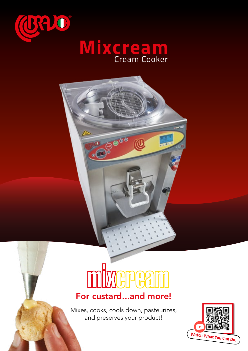



# **GPBA**

# For custard...and more!

Mixes, cooks, cools down, pasteurizes, and preserves your product!

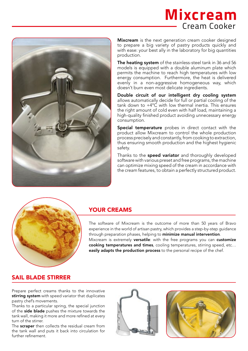# **Mixcream** Cream Cooker



Mixcream is the next generation cream cooker designed to prepare a big variety of pastry products quickly and with ease: your best ally in the laboratory for big quantities production.

The heating system of the stainless-steel tank in 36 and 56 models is equipped with a double aluminum plate which permits the machine to reach high temperatures with low energy consumption. Furthermore, the heat is delivered evenly in a non-aggressive homogeneous way, which doesn't burn even most delicate ingredients.

Double circuit of our intelligent dry cooling system allows automatically decide for full or partial cooling of the tank down to +4°C with low thermal inertia. This ensures the right amount of cold even with half load, maintaining a high-quality finished product avoiding unnecessary energy consumption.

Special temperature probes in direct contact with the product allow Mixcream to control the whole production process precisely and constantly, from cooking to extraction, thus ensuring smooth production and the highest hygienic safety.

Thanks to the **speed variator** and thoroughly developed software with various preset and free programs, the machine can optimize mixing speed of the cream in accordance with the cream features, to obtain a perfectly structured product.



### YOUR CREAMS

The software of Mixcream is the outcome of more than 50 years of Bravo experience in the world of artisan pastry, which provides a step-by-step guidance through preparation phases, helping to minimize manual intervention. Mixcream is extremely versatile: with the free programs you can customize cooking temperatures and times, cooling temperatures, stirring speed, etc… easily adapts the production process to the personal recipe of the chef.

#### SAIL BLADE STIRRER

Prepare perfect creams thanks to the innovative stirring system with speed variator that duplicates pastry chef's movements.

Thanks to a particular spring, the special junction of the side blade pushes the mixture towards the tank wall, making it more and more refined at every turn of the stirrer.

The scraper then collects the residual cream from the tank wall and puts it back into circulation for further refinement.



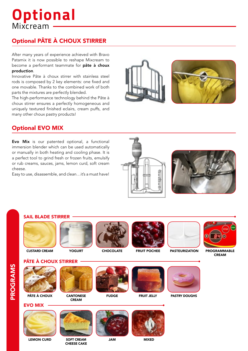# **Optional** Mixcream

# Optional PÂTE À CHOUX STIRRER

After many years of experience achieved with Bravo Patamix it is now possible to reshape Mixcream to become a performant teammate for pâte à choux production.

Innovative Pâte à choux stirrer with stainless steel rods is composed by 2 key elements: one fixed and one movable. Thanks to the combined work of both parts the mixtures are perfectly blended.

The high-performance technology behind the Pâte à choux stirrer ensures a perfectly homogeneous and uniquely textured finished eclairs, cream puffs, and many other choux pastry products!



## Optional EVO MIX

Evo Mix is our patented optional, a functional immersion blender which can be used automatically or manually in both heating and cooling phase. It is a perfect tool to grind fresh or frozen fruits, emulsify or rub creams, sauces, jams, lemon curd, soft cream cheese.

Easy to use, disassemble, and clean…it's a must have!





#### SAIL BLADE STIRRER



CUSTARD CREAM



**YOGURT** 



**CHOCOLATE** 



FRUIT POCHEE



PROGRAMMABLE

CREAM









PASTRY DOUGHS

FRUIT JELLY







MIXED







CREAM